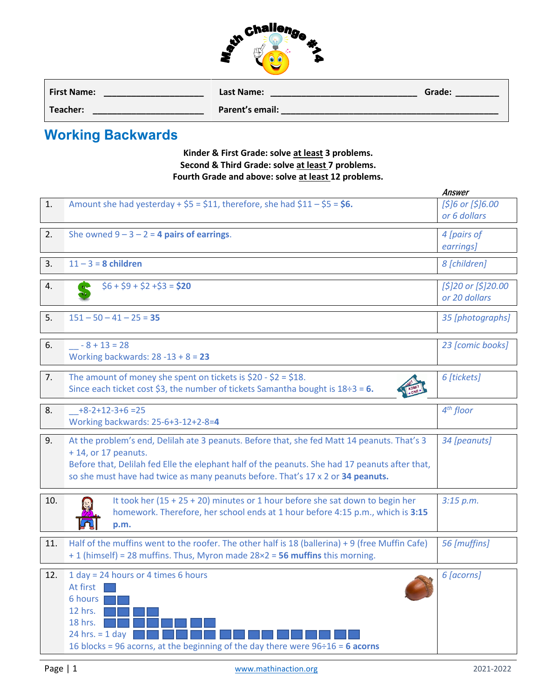

| <b>First Name:</b> | Last Name:      | Grade: |
|--------------------|-----------------|--------|
| Teacher:           | Parent's email: |        |

## **Working Backwards**

## **Kinder & First Grade: solve at least 3 problems. Second & Third Grade: solve at least 7 problems. Fourth Grade and above: solve at least 12 problems.**

|     |                                                                                                                                                                                                                                                                                                         | Answer                               |
|-----|---------------------------------------------------------------------------------------------------------------------------------------------------------------------------------------------------------------------------------------------------------------------------------------------------------|--------------------------------------|
| 1.  | Amount she had yesterday + $$5 = $11$ , therefore, she had $$11 - $5 = $6$ .                                                                                                                                                                                                                            | $[$]6$ or $[$]6.00$<br>or 6 dollars  |
| 2.  | She owned $9 - 3 - 2 = 4$ pairs of earrings.                                                                                                                                                                                                                                                            | 4 [pairs of<br>earrings]             |
| 3.  | $11 - 3 = 8$ children                                                                                                                                                                                                                                                                                   | 8 [children]                         |
| 4.  | $$6 + $9 + $2 + $3 = $20$                                                                                                                                                                                                                                                                               | [\$]20 or [\$]20.00<br>or 20 dollars |
| 5.  | $151 - 50 - 41 - 25 = 35$                                                                                                                                                                                                                                                                               | 35 [photographs]                     |
| 6.  | $-8 + 13 = 28$<br>Working backwards: $28 - 13 + 8 = 23$                                                                                                                                                                                                                                                 | 23 [comic books]                     |
| 7.  | The amount of money she spent on tickets is $$20 - $2 = $18$ .<br>Since each ticket cost \$3, the number of tickets Samantha bought is $18\div 3 = 6$ .                                                                                                                                                 | 6 [tickets]                          |
| 8.  | $+8-2+12-3+6=25$<br>Working backwards: 25-6+3-12+2-8=4                                                                                                                                                                                                                                                  | $4th$ floor                          |
| 9.  | At the problem's end, Delilah ate 3 peanuts. Before that, she fed Matt 14 peanuts. That's 3<br>+14, or 17 peanuts.<br>Before that, Delilah fed Elle the elephant half of the peanuts. She had 17 peanuts after that,<br>so she must have had twice as many peanuts before. That's 17 x 2 or 34 peanuts. | 34 [peanuts]                         |
| 10. | It took her $(15 + 25 + 20)$ minutes or 1 hour before she sat down to begin her<br>homework. Therefore, her school ends at 1 hour before 4:15 p.m., which is 3:15<br>p.m.                                                                                                                               | 3:15 p.m.                            |
| 11. | Half of the muffins went to the roofer. The other half is 18 (ballerina) + 9 (free Muffin Cafe)<br>+ 1 (himself) = 28 muffins. Thus, Myron made 28×2 = 56 muffins this morning.                                                                                                                         | 56 [muffins]                         |
| 12. | 1 day = 24 hours or 4 times 6 hours<br>At first  <br>6 hours<br>12 hrs.<br>18 hrs.<br>24 hrs. $= 1$ day<br>16 blocks = 96 acorns, at the beginning of the day there were $96 \div 16 = 6$ acorns                                                                                                        | 6 [acorns]                           |